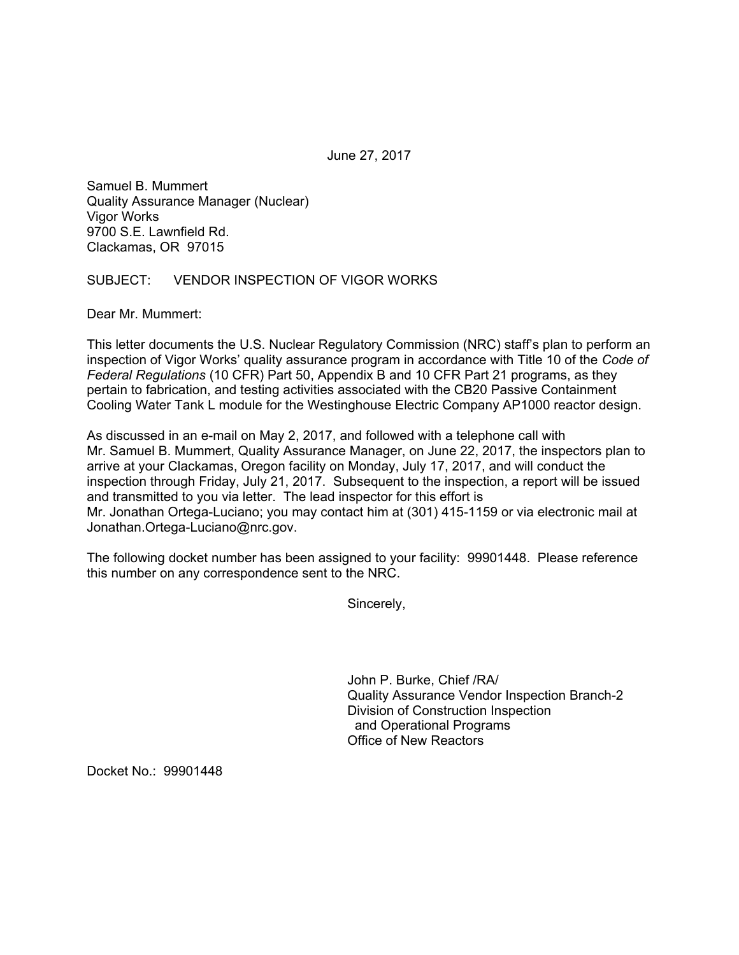June 27, 2017

Samuel B. Mummert Quality Assurance Manager (Nuclear) Vigor Works 9700 S.E. Lawnfield Rd. Clackamas, OR 97015

## SUBJECT: VENDOR INSPECTION OF VIGOR WORKS

Dear Mr. Mummert:

This letter documents the U.S. Nuclear Regulatory Commission (NRC) staff's plan to perform an inspection of Vigor Works' quality assurance program in accordance with Title 10 of the *Code of Federal Regulations* (10 CFR) Part 50, Appendix B and 10 CFR Part 21 programs, as they pertain to fabrication, and testing activities associated with the CB20 Passive Containment Cooling Water Tank L module for the Westinghouse Electric Company AP1000 reactor design.

As discussed in an e-mail on May 2, 2017, and followed with a telephone call with Mr. Samuel B. Mummert, Quality Assurance Manager, on June 22, 2017, the inspectors plan to arrive at your Clackamas, Oregon facility on Monday, July 17, 2017, and will conduct the inspection through Friday, July 21, 2017. Subsequent to the inspection, a report will be issued and transmitted to you via letter. The lead inspector for this effort is Mr. Jonathan Ortega-Luciano; you may contact him at (301) 415-1159 or via electronic mail at Jonathan.Ortega-Luciano@nrc.gov.

The following docket number has been assigned to your facility: 99901448. Please reference this number on any correspondence sent to the NRC.

Sincerely,

John P. Burke, Chief /RA/ Quality Assurance Vendor Inspection Branch-2 Division of Construction Inspection and Operational Programs Office of New Reactors

Docket No.: 99901448